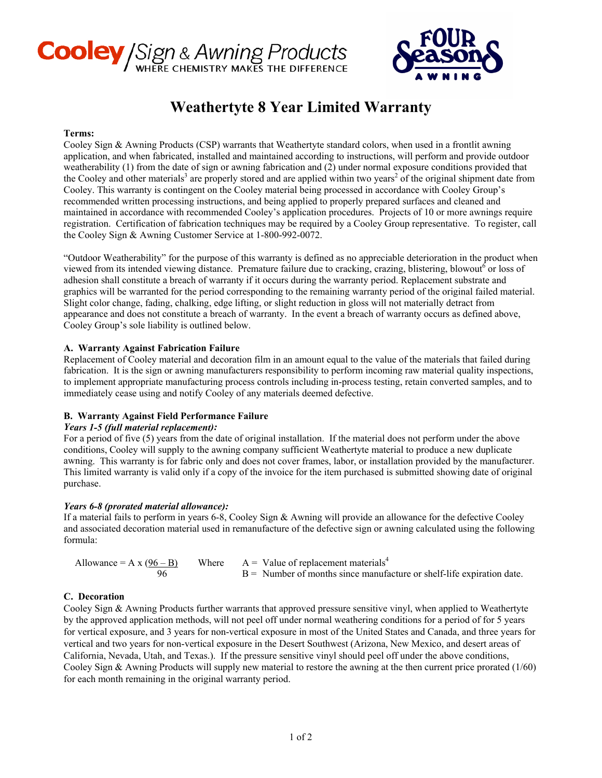# **Cooley** / Sign & Awning Products



# **Weathertyte 8 Year Limited Warranty**

### **Terms:**

Cooley Sign & Awning Products (CSP) warrants that Weathertyte standard colors, when used in a frontlit awning application, and when fabricated, installed and maintained according to instructions, will perform and provide outdoor weatherability (1) from the date of sign or awning fabrication and (2) under normal exposure conditions provided that the Cooley and other materials<sup>3</sup> are properly stored and are applied within two years<sup>2</sup> of the original shipment date from Cooley. This warranty is contingent on the Cooley material being processed in accordance with Cooley Group's recommended written processing instructions, and being applied to properly prepared surfaces and cleaned and maintained in accordance with recommended Cooley's application procedures. Projects of 10 or more awnings require registration. Certification of fabrication techniques may be required by a Cooley Group representative. To register, call the Cooley Sign & Awning Customer Service at 1-800-992-0072.

"Outdoor Weatherability" for the purpose of this warranty is defined as no appreciable deterioration in the product when viewed from its intended viewing distance. Premature failure due to cracking, crazing, blistering, blowout  $\epsilon$  or loss of adhesion shall constitute a breach of warranty if it occurs during the warranty period. Replacement substrate and graphics will be warranted for the period corresponding to the remaining warranty period of the original failed material. Slight color change, fading, chalking, edge lifting, or slight reduction in gloss will not materially detract from appearance and does not constitute a breach of warranty. In the event a breach of warranty occurs as defined above, Cooley Group's sole liability is outlined below.

# **A. Warranty Against Fabrication Failure**

Replacement of Cooley material and decoration film in an amount equal to the value of the materials that failed during fabrication. It is the sign or awning manufacturers responsibility to perform incoming raw material quality inspections, to implement appropriate manufacturing process controls including in-process testing, retain converted samples, and to immediately cease using and notify Cooley of any materials deemed defective.

# **B. Warranty Against Field Performance Failure**

# *Years 1-5 (full material replacement):*

For a period of five (5) years from the date of original installation. If the material does not perform under the above conditions, Cooley will supply to the awning company sufficient Weathertyte material to produce a new duplicate awning. This warranty is for fabric only and does not cover frames, labor, or installation provided by the manufacturer. This limited warranty is valid only if a copy of the invoice for the item purchased is submitted showing date of original purchase.

#### *Years 6-8 (prorated material allowance):*

If a material fails to perform in years 6-8, Cooley Sign & Awning will provide an allowance for the defective Cooley and associated decoration material used in remanufacture of the defective sign or awning calculated using the following formula:

| Allowance = A x $(96 - B)$ | Where $A = Value of replacement materials4$                             |
|----------------------------|-------------------------------------------------------------------------|
| 96                         | $B =$ Number of months since manufacture or shelf-life expiration date. |

# **C. Decoration**

Cooley Sign & Awning Products further warrants that approved pressure sensitive vinyl, when applied to Weathertyte by the approved application methods, will not peel off under normal weathering conditions for a period of for 5 years for vertical exposure, and 3 years for non-vertical exposure in most of the United States and Canada, and three years for vertical and two years for non-vertical exposure in the Desert Southwest (Arizona, New Mexico, and desert areas of California, Nevada, Utah, and Texas.). If the pressure sensitive vinyl should peel off under the above conditions, Cooley Sign & Awning Products will supply new material to restore the awning at the then current price prorated (1/60) for each month remaining in the original warranty period.